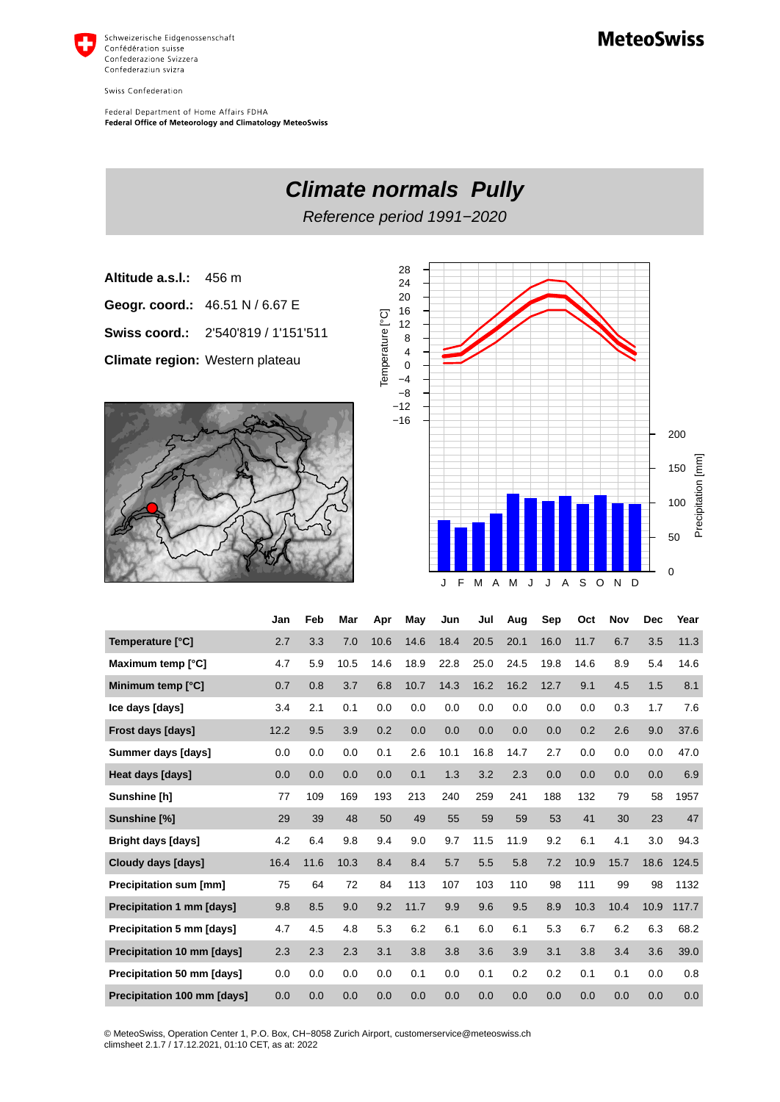

Swiss Confederation

Federal Department of Home Affairs FDHA Federal Office of Meteorology and Climatology MeteoSwiss



Temperature [°C]

Temperature [°C]

- 
- **Geogr. coord.:** 46.51 N / 6.67 E
- **Swiss coord.:** 2'540'819 / 1'151'511
- **Climate region:** Western plateau





|                                    | Jan  | Feb  | Mar  | Apr  | May  | Jun  | Jul  | Aug  | Sep  | Oct  | <b>Nov</b> | <b>Dec</b> | Year  |
|------------------------------------|------|------|------|------|------|------|------|------|------|------|------------|------------|-------|
| Temperature [°C]                   | 2.7  | 3.3  | 7.0  | 10.6 | 14.6 | 18.4 | 20.5 | 20.1 | 16.0 | 11.7 | 6.7        | 3.5        | 11.3  |
| Maximum temp [°C]                  | 4.7  | 5.9  | 10.5 | 14.6 | 18.9 | 22.8 | 25.0 | 24.5 | 19.8 | 14.6 | 8.9        | 5.4        | 14.6  |
| Minimum temp [°C]                  | 0.7  | 0.8  | 3.7  | 6.8  | 10.7 | 14.3 | 16.2 | 16.2 | 12.7 | 9.1  | 4.5        | 1.5        | 8.1   |
| Ice days [days]                    | 3.4  | 2.1  | 0.1  | 0.0  | 0.0  | 0.0  | 0.0  | 0.0  | 0.0  | 0.0  | 0.3        | 1.7        | 7.6   |
| Frost days [days]                  | 12.2 | 9.5  | 3.9  | 0.2  | 0.0  | 0.0  | 0.0  | 0.0  | 0.0  | 0.2  | 2.6        | 9.0        | 37.6  |
| Summer days [days]                 | 0.0  | 0.0  | 0.0  | 0.1  | 2.6  | 10.1 | 16.8 | 14.7 | 2.7  | 0.0  | 0.0        | 0.0        | 47.0  |
| <b>Heat days [days]</b>            | 0.0  | 0.0  | 0.0  | 0.0  | 0.1  | 1.3  | 3.2  | 2.3  | 0.0  | 0.0  | 0.0        | 0.0        | 6.9   |
| Sunshine [h]                       | 77   | 109  | 169  | 193  | 213  | 240  | 259  | 241  | 188  | 132  | 79         | 58         | 1957  |
| Sunshine [%]                       | 29   | 39   | 48   | 50   | 49   | 55   | 59   | 59   | 53   | 41   | 30         | 23         | 47    |
| <b>Bright days [days]</b>          | 4.2  | 6.4  | 9.8  | 9.4  | 9.0  | 9.7  | 11.5 | 11.9 | 9.2  | 6.1  | 4.1        | 3.0        | 94.3  |
| Cloudy days [days]                 | 16.4 | 11.6 | 10.3 | 8.4  | 8.4  | 5.7  | 5.5  | 5.8  | 7.2  | 10.9 | 15.7       | 18.6       | 124.5 |
| <b>Precipitation sum [mm]</b>      | 75   | 64   | 72   | 84   | 113  | 107  | 103  | 110  | 98   | 111  | 99         | 98         | 1132  |
| Precipitation 1 mm [days]          | 9.8  | 8.5  | 9.0  | 9.2  | 11.7 | 9.9  | 9.6  | 9.5  | 8.9  | 10.3 | 10.4       | 10.9       | 117.7 |
| Precipitation 5 mm [days]          | 4.7  | 4.5  | 4.8  | 5.3  | 6.2  | 6.1  | 6.0  | 6.1  | 5.3  | 6.7  | 6.2        | 6.3        | 68.2  |
| <b>Precipitation 10 mm [days]</b>  | 2.3  | 2.3  | 2.3  | 3.1  | 3.8  | 3.8  | 3.6  | 3.9  | 3.1  | 3.8  | 3.4        | 3.6        | 39.0  |
| Precipitation 50 mm [days]         | 0.0  | 0.0  | 0.0  | 0.0  | 0.1  | 0.0  | 0.1  | 0.2  | 0.2  | 0.1  | 0.1        | 0.0        | 0.8   |
| <b>Precipitation 100 mm [days]</b> | 0.0  | 0.0  | 0.0  | 0.0  | 0.0  | 0.0  | 0.0  | 0.0  | 0.0  | 0.0  | 0.0        | 0.0        | 0.0   |

© MeteoSwiss, Operation Center 1, P.O. Box, CH−8058 Zurich Airport, customerservice@meteoswiss.ch climsheet 2.1.7 / 17.12.2021, 01:10 CET, as at: 2022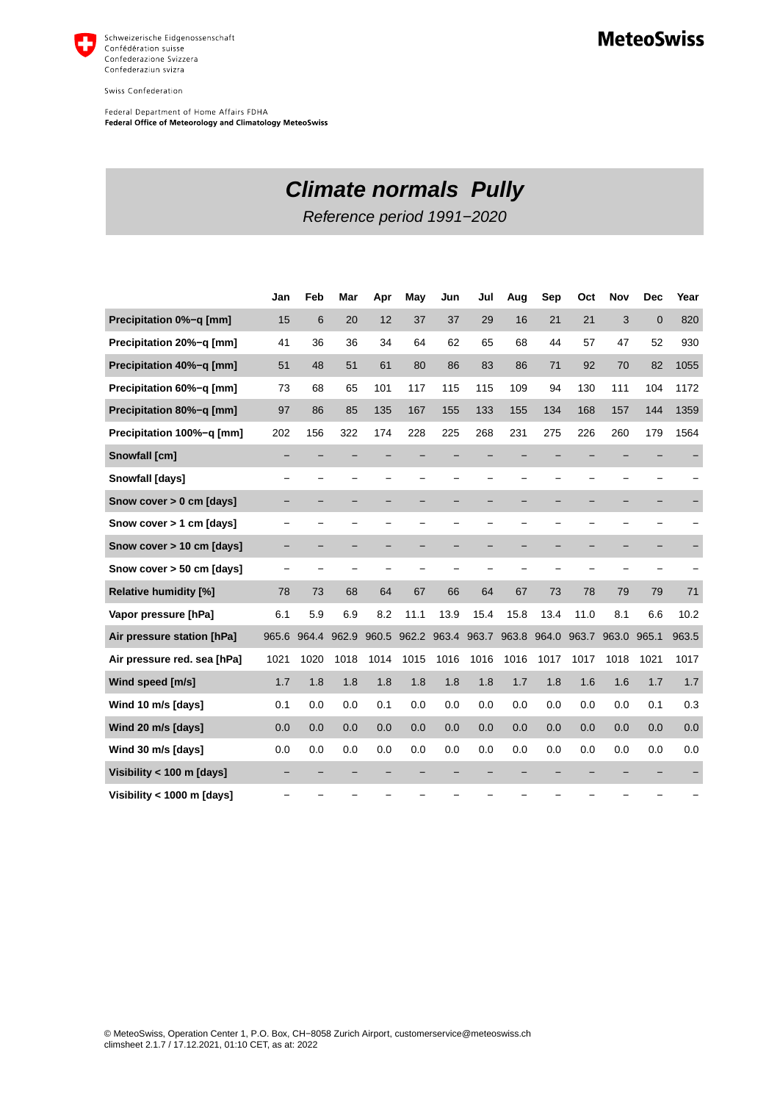

Swiss Confederation

Federal Department of Home Affairs FDHA<br>Federal Office of Meteorology and Climatology MeteoSwiss

## **MeteoSwiss**

## **Climate normals Pully**

Reference period 1991−2020

|                              | Jan   | Feb   | Mar   | Apr   | May   | Jun   | Jul   | Aug   | Sep   | Oct   | Nov   | <b>Dec</b>   | Year  |
|------------------------------|-------|-------|-------|-------|-------|-------|-------|-------|-------|-------|-------|--------------|-------|
| Precipitation 0%-q [mm]      | 15    | 6     | 20    | 12    | 37    | 37    | 29    | 16    | 21    | 21    | 3     | $\mathbf{0}$ | 820   |
| Precipitation 20%-q [mm]     | 41    | 36    | 36    | 34    | 64    | 62    | 65    | 68    | 44    | 57    | 47    | 52           | 930   |
| Precipitation 40%-q [mm]     | 51    | 48    | 51    | 61    | 80    | 86    | 83    | 86    | 71    | 92    | 70    | 82           | 1055  |
| Precipitation 60%-q [mm]     | 73    | 68    | 65    | 101   | 117   | 115   | 115   | 109   | 94    | 130   | 111   | 104          | 1172  |
| Precipitation 80%-q [mm]     | 97    | 86    | 85    | 135   | 167   | 155   | 133   | 155   | 134   | 168   | 157   | 144          | 1359  |
| Precipitation 100%-q [mm]    | 202   | 156   | 322   | 174   | 228   | 225   | 268   | 231   | 275   | 226   | 260   | 179          | 1564  |
| Snowfall [cm]                |       |       |       |       |       |       |       |       |       |       |       |              |       |
| Snowfall [days]              |       |       |       |       |       |       |       |       |       |       |       |              |       |
| Snow cover > 0 cm [days]     |       |       |       |       |       | -     | -     | -     |       |       |       |              |       |
| Snow cover > 1 cm [days]     |       |       |       |       |       |       |       |       |       |       |       |              |       |
| Snow cover > 10 cm [days]    |       |       |       |       |       |       |       |       |       |       |       |              |       |
| Snow cover > 50 cm [days]    |       |       |       |       |       |       |       |       |       |       |       |              |       |
| <b>Relative humidity [%]</b> | 78    | 73    | 68    | 64    | 67    | 66    | 64    | 67    | 73    | 78    | 79    | 79           | 71    |
| Vapor pressure [hPa]         | 6.1   | 5.9   | 6.9   | 8.2   | 11.1  | 13.9  | 15.4  | 15.8  | 13.4  | 11.0  | 8.1   | 6.6          | 10.2  |
| Air pressure station [hPa]   | 965.6 | 964.4 | 962.9 | 960.5 | 962.2 | 963.4 | 963.7 | 963.8 | 964.0 | 963.7 | 963.0 | 965.1        | 963.5 |
| Air pressure red. sea [hPa]  | 1021  | 1020  | 1018  | 1014  | 1015  | 1016  | 1016  | 1016  | 1017  | 1017  | 1018  | 1021         | 1017  |
| Wind speed [m/s]             | 1.7   | 1.8   | 1.8   | 1.8   | 1.8   | 1.8   | 1.8   | 1.7   | 1.8   | 1.6   | 1.6   | 1.7          | 1.7   |
| Wind 10 m/s [days]           | 0.1   | 0.0   | 0.0   | 0.1   | 0.0   | 0.0   | 0.0   | 0.0   | 0.0   | 0.0   | 0.0   | 0.1          | 0.3   |
| Wind 20 m/s [days]           | 0.0   | 0.0   | 0.0   | 0.0   | 0.0   | 0.0   | 0.0   | 0.0   | 0.0   | 0.0   | 0.0   | 0.0          | 0.0   |
| Wind 30 m/s [days]           | 0.0   | 0.0   | 0.0   | 0.0   | 0.0   | 0.0   | 0.0   | 0.0   | 0.0   | 0.0   | 0.0   | 0.0          | 0.0   |
| Visibility < 100 m [days]    |       |       |       |       |       |       |       |       |       |       |       |              |       |
| Visibility < 1000 m [days]   |       |       |       |       |       |       |       |       |       |       |       |              |       |